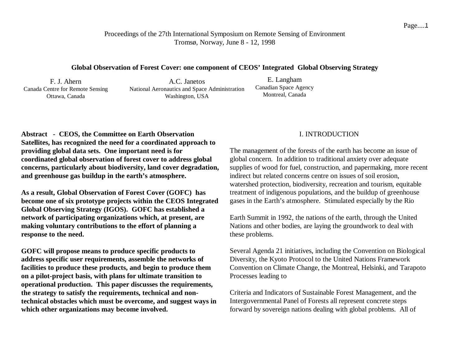Proceedings of the 27th International Symposium on Remote Sensing of Environment Tromsø, Norway, June 8 - 12, 1998

#### **Global Observation of Forest Cover: one component of CEOS' Integrated Global Observing Strategy**

F. J. Ahern Canada Centre for Remote Sensing Ottawa, Canada

A.C. Janetos National Aeronautics and Space Administration Washington, USA

E. Langham Canadian Space Agency Montreal, Canada

**Abstract - CEOS, the Committee on Earth Observation Satellites, has recognized the need for a coordinated approach to providing global data sets. One important need is for coordinated global observation of forest cover to address global concerns, particularly about biodiversity, land cover degradation, and greenhouse gas buildup in the earth's atmosphere.**

**As a result, Global Observation of Forest Cover (GOFC) has become one of six prototype projects within the CEOS Integrated Global Observing Strategy (IGOS). GOFC has established a network of participating organizations which, at present, are making voluntary contributions to the effort of planning a response to the need.**

**GOFC will propose means to produce specific products to address specific user requirements, assemble the networks of facilities to produce these products, and begin to produce them on a pilot-project basis, with plans for ultimate transition to operational production. This paper discusses the requirements, the strategy to satisfy the requirements, technical and nontechnical obstacles which must be overcome, and suggest ways in which other organizations may become involved.**

## I. INTRODUCTION

The management of the forests of the earth has become an issue of global concern. In addition to traditional anxiety over adequate supplies of wood for fuel, construction, and papermaking, more recent indirect but related concerns centre on issues of soil erosion, watershed protection, biodiversity, recreation and tourism, equitable treatment of indigenous populations, and the buildup of greenhouse gases in the Earth's atmosphere. Stimulated especially by the Rio

Earth Summit in 1992, the nations of the earth, through the United Nations and other bodies, are laying the groundwork to deal with these problems.

Several Agenda 21 initiatives, including the Convention on Biological Diversity, the Kyoto Protocol to the United Nations Framework Convention on Climate Change, the Montreal, Helsinki, and Tarapoto Processes leading to

Criteria and Indicators of Sustainable Forest Management, and the Intergovernmental Panel of Forests all represent concrete steps forward by sovereign nations dealing with global problems. All of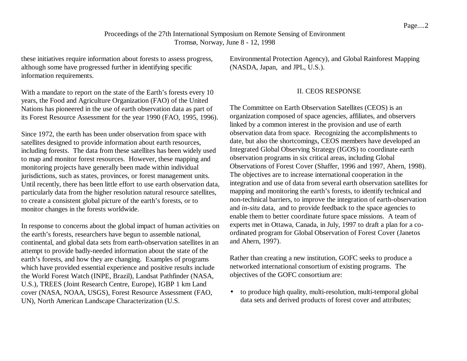Proceedings of the 27th International Symposium on Remote Sensing of Environment Tromsø, Norway, June 8 - 12, 1998 Proceedings of the 27th International Symposium on Remote Sensing of Environment<br>Tromsø, Norway, June 8 - 12, 1998<br>these initiatives require information about forests to assess progress, Environmental Protection Agency), a

although some have progressed further in identifying specific information requirements.

With a mandate to report on the state of the Earth's forests every 10 years, the Food and Agriculture Organization (FAO) of the United Nations has pioneered in the use of earth observation data as part of its Forest Resource Assessment for the year 1990 (FAO, 1995, 1996).

Since 1972, the earth has been under observation from space with satellites designed to provide information about earth resources, including forests. The data from these satellites has been widely used to map and monitor forest resources. However, these mapping and monitoring projects have generally been made within individual jurisdictions, such as states, provinces, or forest management units. Until recently, there has been little effort to use earth observation data, particularly data from the higher resolution natural resource satellites, to create a consistent global picture of the earth's forests, or to monitor changes in the forests worldwide.

In response to concerns about the global impact of human activities on the earth's forests, researchers have begun to assemble national, continental, and global data sets from earth-observation satellites in an attempt to provide badly-needed information about the state of the earth's forests, and how they are changing. Examples of programs which have provided essential experience and positive results include the World Forest Watch (INPE, Brazil), Landsat Pathfinder (NASA, U.S.), TREES (Joint Research Centre, Europe), IGBP 1 km Land cover (NASA, NOAA, USGS), Forest Resource Assessment (FAO, UN), North American Landscape Characterization (U.S.

Environmental Protection Agency), and Global Rainforest Mapping (NASDA, Japan, and JPL, U.S.).

### II. CEOS RESPONSE

The Committee on Earth Observation Satellites (CEOS) is an organization composed of space agencies, affiliates, and observers linked by a common interest in the provision and use of earth observation data from space. Recognizing the accomplishments to date, but also the shortcomings, CEOS members have developed an Integrated Global Observing Strategy (IGOS) to coordinate earth observation programs in six critical areas, including Global Observations of Forest Cover (Shaffer, 1996 and 1997, Ahern, 1998). The objectives are to increase international cooperation in the integration and use of data from several earth observation satellites for mapping and monitoring the earth's forests, to identify technical and non-technical barriers, to improve the integration of earth-observation and *in-situ* data, and to provide feedback to the space agencies to enable them to better coordinate future space missions. A team of experts met in Ottawa, Canada, in July, 1997 to draft a plan for a coordinated program for Global Observation of Forest Cover (Janetos and Ahern, 1997).

Rather than creating a new institution, GOFC seeks to produce a networked international consortium of existing programs. The objectives of the GOFC consortium are:

• to produce high quality, multi-resolution, multi-temporal global data sets and derived products of forest cover and attributes;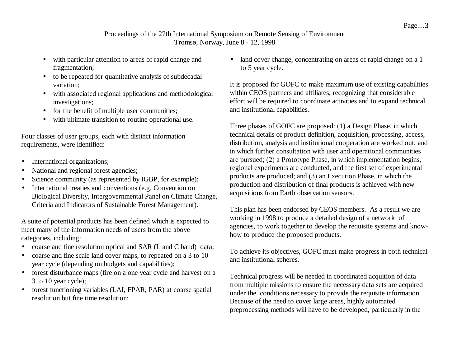## Proceedings of the 27th International Symposium on Remote Sensing of Environment Tromsø, Norway, June 8 - 12, 1998

- with particular attention to areas of rapid change and fragmentation;
- to be repeated for quantitative analysis of subdecadal variation;
- with associated regional applications and methodological investigations;
- for the benefit of multiple user communities;
- with ultimate transition to routine operational use.

Four classes of user groups, each with distinct information requirements, were identified:

- International organizations;
- National and regional forest agencies;
- Science community (as represented by IGBP, for example);
- International treaties and conventions (e.g. Convention on Biological Diversity, Intergovernmental Panel on Climate Change, Criteria and Indicators of Sustainable Forest Management).

A suite of potential products has been defined which is expected to meet many of the information needs of users from the above categories. including:

- coarse and fine resolution optical and SAR (L and C band) data;
- coarse and fine scale land cover maps, to repeated on a 3 to 10 year cycle (depending on budgets and capabilities);
- forest disturbance maps (fire on a one year cycle and harvest on a 3 to 10 year cycle);
- forest functioning variables (LAI, FPAR, PAR) at coarse spatial resolution but fine time resolution;

• land cover change, concentrating on areas of rapid change on a 1 to 5 year cycle.

It is proposed for GOFC to make maximum use of existing capabilities within CEOS partners and affiliates, recognizing that considerable effort will be required to coordinate activities and to expand technical and institutional capabilities.

Three phases of GOFC are proposed: (1) a Design Phase, in which technical details of product definition, acquisition, processing, access, distribution, analysis and institutional cooperation are worked out, and in which further consultation with user and operational communities are pursued; (2) a Prototype Phase, in which implementation begins, regional experiments are conducted, and the first set of experimental products are produced; and (3) an Execution Phase, in which the production and distribution of final products is achieved with new acquisitions from Earth observation sensors.

This plan has been endorsed by CEOS members. As a result we are working in 1998 to produce a detailed design of a network of agencies, to work together to develop the requisite systems and knowhow to produce the proposed products.

To achieve its objectives, GOFC must make progress in both technical and institutional spheres.

Technical progress will be needed in coordinated acquition of data from multiple missions to ensure the necessary data sets are acquired under the conditions necessary to provide the requisite information. Because of the need to cover large areas, highly automated preprocessing methods will have to be developed, particularly in the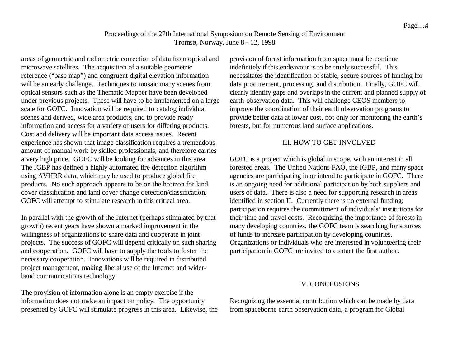# Proceedings of the 27th International Symposium on Remote Sensing of Environment Tromsø, Norway, June 8 - 12, 1998 Proceedings of the 27th International Symposium on Remote Sensing of Environment<br>Tromsø, Norway, June 8 - 12, 1998<br>areas of geometric and radiometric correction of data from optical and<br>provision of forest information from

microwave satellites. The acquisition of a suitable geometric reference ("base map") and congruent digital elevation information will be an early challenge. Techniques to mosaic many scenes from optical sensors such as the Thematic Mapper have been developed under previous projects. These will have to be implemented on a large scale for GOFC. Innovation will be required to catalog individual scenes and derived, wide area products, and to provide ready information and access for a variety of users for differing products. Cost and delivery will be important data access issues. Recent experience has shown that image classification requires a tremendous amount of manual work by skilled professionals, and therefore carries a very high price. GOFC will be looking for advances in this area. The IGBP has defined a highly automated fire detection algorithm using AVHRR data, which may be used to produce global fire products. No such approach appears to be on the horizon for land cover classification and land cover change detection/classification. GOFC will attempt to stimulate research in this critical area.

In parallel with the growth of the Internet (perhaps stimulated by that growth) recent years have shown a marked improvement in the willingness of organizations to share data and cooperate in joint projects. The success of GOFC will depend critically on such sharing and cooperation. GOFC will have to supply the tools to foster the necessary cooperation. Innovations will be required in distributed project management, making liberal use of the Internet and widerband communications technology.

The provision of information alone is an empty exercise if the information does not make an impact on policy. The opportunity presented by GOFC will stimulate progress in this area. Likewise, the

provision of forest information from space must be continue indefinitely if this endeavour is to be truely successful. This necessitates the identification of stable, secure sources of funding for data procurement, processing, and distribution. Finally, GOFC will clearly identify gaps and overlaps in the current and planned supply of earth-observation data. This will challenge CEOS members to improve the coordination of their earth observation programs to provide better data at lower cost, not only for monitoring the earth's forests, but for numerous land surface applications.

### III. HOW TO GET INVOLVED

GOFC is a project which is global in scope, with an interest in all forested areas. The United Nations FAO, the IGBP, and many space agencies are participating in or intend to participate in GOFC. There is an ongoing need for additional participation by both suppliers and users of data. There is also a need for supporting research in areas identified in section II. Currently there is no external funding; participation requires the committment of individuals' institutions for their time and travel costs. Recognizing the importance of forests in many developing countries, the GOFC team is searching for sources of funds to increase participation by developing countries. Organizations or individuals who are interested in volunteering their participation in GOFC are invited to contact the first author.

### IV. CONCLUSIONS

Recognizing the essential contribution which can be made by data from spaceborne earth observation data, a program for Global